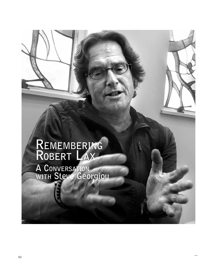## **Remembering Robert Lax A Conversation with Steve Georgiou**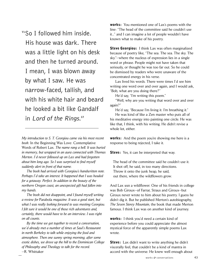"So I followed him inside. His house was dark. There was a little light on his desk and then he turned around. I mean, I was blown away by what I saw. He was narrow-faced, tallish, and with his white hair and beard he looked a bit like Gandalf in Lord of the Rings."

*My introduction to S. T. Georgiou came via his most recent book:* In the Beginning Was Love: Contemplative Words of Robert Lax*. The name rang a bell. It was buried in memory, but wrapped in an aura connected with Thomas Merton. I'd never followed up on Lax and had forgotten about him long ago. So I was surprised to find myself suddenly alert in front of that name.*

 *The book had arrived with Georgiou's handwritten note. Perhaps I'd take an interest. It happened that I was headed for a getaway. Perfect. In addition to the beauty of the northern Oregon coast, an unexpected gift had fallen into my hands.* 

 *The book did not disappoint, and I found myself writing a review for* Parabola *magazine. It was a good start, but what I was really looking forward to was meeting Georgiou. I felt sure it would be one of those rich adventures and, certainly, there would have to be an interview. I was right on all counts.* 

 *By the time we got together to record a conversation, we'd already met a number of times at Saul's Restaurant in north Berkeley to talk while enjoying the food and atmosphere. Then one sunny spring morning, after some exotic dishes, we drove up the hill to the Dominican College of Philosophy and Theology to talk for the record.* —R. Whittaker

works: You mentioned one of Lax's poems with the line: "The head of the committee said he couldn't use it..." and I can imagine a lot of people wouldn't have known what to make of his poetry.

**Steve Georgiou:** I think Lax was often marginalized because of poetry like, "The sea. The sea. The sky. The sky."—where the nucleus of expression lies in a single word or phrase. People might not have taken that seriously, or thought he was too far out. So he could be dismissed by readers who were unaware of the concentrated energy in his verse.

Lax lived his words. There were times I'd see him writing one word over and over again, and I would ask, "Bob, what are you doing there?"

He'd say, "I'm writing this poem."

"Well, why are you writing that word over and over again?"

He'd say, "Because I'm living it. I'm breathing it." He was kind of like a Zen master who puts all of his meditative energy into painting one circle. He was like that, I think, with his writing. He didn't revise a whole lot, either.

works: And the poem you're showing me here is a response to being rejected, I take it.

**Steve:** Yes, it can be interpreted that way.

The head of the committee said he couldn't use it. It shot off, he said, in too many directions. Throw it onto the junk heap, he said, out there, where the wildflowers grow.

And Lax *was* a wildflower. One of his friends in college was Bob Giroux—of Farrar, Straus and Giroux—but Giroux never wrote to him about his poetry. I guess he didn't dig it. But he published Merton's autobiography, *The Seven Storey Mountain*, the book that made Merton famous. I think Lax was on another kind of journey.

works: I think you'd need a certain kind of experience before you could appreciate the almost mystical force of the apparently simple poems Lax wrote.

**Steve:** Lax didn't want to write anything he didn't viscerally feel, that couldn't be a kind of mantra in accord with the universe. He knew well enough about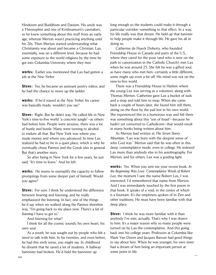Hinduism and Buddhism and Daoism. His uncle was a Theosophist and one of Krishnamurti's caretakers, so he knew something about this stuff from an early age, whereas Merton wasn't practicing anything until his 20s. Then Merton started understanding what Christianity was about and became a Christian. Lax, essentially, was on a different level, because he had some exposure to the world religions by the time he got into Columbia University where they met.

works: Earlier you mentioned that Lax had gotten a job at the *New Yorker*.

**Steve:** Yes, he became an assistant poetry editor, and he had the chance to move up the ladder.

works: If he'd stayed at the *New Yorker*, his career was basically made, wouldn't you say?

Steve: Right. But he didn't stay. He called life in New York's nine-to-five world "a concrete jungle"—as others had before him. People were anxious; there was a lot of hustle and bustle. Many were turning to alcohol to endure all that. But New York was where you made money and where you advanced. In time Lax realized he had to be in a quiet place, which is why he eventually chose Patmos and the Greek isles in general. But that's another story.

 So after being in New York for a few years, he just said, "It's time to leave." And he left.

works: He seems to exemplify the capacity to follow promptings from some deeper part of himself. Would you agree?

Steve: For sure. I think he understood the difference between hearing and listening, and he really emphasized the listening. In fact, one of the things he'd say when we walked along the Patmos shoreline was, "I'm going back to my place now. There's a lot of *listening* I have to get to."

And listening for what?

 I think for all the cosmic sounds, his own heart, his own soul.

As a youth, he was sought out by people who felt a need to talk with him. In his twenties, and even before, he had this sixth sense, you might say. In childhood he dreamt that he saved a lot of students. A hallway bannister had broken. He'd held the bannister up

long enough so the students could make it through a particular corridor—something to that effect. In a way, his life really was that dream. He held up that banister to help people make it through life. He gave his all in doing so.

Catherine de Hueck Doherty, who founded Friendship House in Canada and parts of the U.S., where they cared for the poor (and who is now on the path to canonization in the Catholic Church), met Lax when he was around 25. She felt he was a gifted soul, as have many who met him—certainly a little different, some might say even a bit off. His mind was not on the nine-to-five world.

There was a Friendship House in Harlem where the young Lax was serving as a volunteer, along with Thomas Merton. Catherine gave Lax a bucket of suds and a mop and told him to mop. When she came back a couple of hours later, she found him still there, sitting on the floor by the pail lost in his own world. She experienced this in a humorous way and felt there was something about this "son of Israel"—because he hadn't yet converted to Catholicism—that would result in many books being written about him.

As Merton had written in *The Seven Storey Mountain,* "Lax was born with the deepest sense of who God was." Merton said that he was often in this deep, contemplative mode, even in college. He indexed Lax more than anybody else in his autobiography. For Merton, and for others, Lax was a guiding light.

works: Yes. When you sent me your recent book, *In the Beginning Was Love: Contemplative Words of Robert Lax*, the moment I saw the name Robert Lax, I was interested. I'd remembered that name from Merton. And I was immediately touched by the first poem in that book. It speaks of a void, in the center of which is a fountain. It's the emptiness spoken of in Zen and other traditions. He must have been familiar with that deep place.

Steve: I think he was more familiar with it than anybody I've met, actually. That's why I was drawn to him. It's a major reason why so many people were turned on by Lax the contemplative. And this going back into his college years. Professors at Columbia like Mark Van Doren and Jacques Barzun had good things to say about him. When he was younger, his own sister had a dream of him being an important person at some point in life.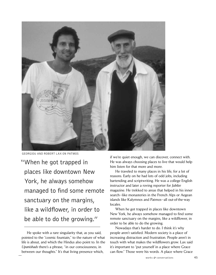

Georgiou and Robert Lax on Patmos

"When he got trapped in places like downtown New York, he always somehow managed to find some remote sanctuary on the margins, like a wildflower, in order to be able to do the growing."

if we're quiet enough, we can discover, connect with. He was always choosing places to live that would help him listen for that more and more.

He traveled to many places in his life, for a lot of reasons. Early on he had lots of odd jobs, including bartending and scriptwriting. He was a college English instructor and later a roving reporter for *Jubilee* magazine. He trekked to areas that helped in his inner search—like monasteries in the French Alps or Aegean islands like Kalymnos and Patmos—all out-of-the-way locales.

When he got trapped in places like downtown New York, he always somehow managed to find some remote sanctuary on the margins, like a wildflower, in order to be able to do the growing.

Nowadays that's harder to do. I think it's why people aren't satisfied. Modern society is a place of increasing distraction and frustration. People aren't in touch with what makes the wildflowers grow. Lax said it's important to "put yourself in a place where Grace can flow." Those were his words. A place where Grace

He spoke with a rare singularity that, as you said, pointed to the "cosmic fountain," to the nature of what life is about, and which the Hindus also point to. In the *Upanishads* there's a phrase, "in our consciousness, in between our thoughts." It's that living presence which,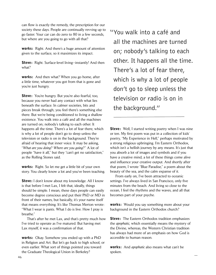can flow is exactly the remedy, the prescription for our society these days. People are continually revving up to go faster. Your car can do zero to 80 in a few seconds, but where are you going to go with all that?

works: Right. And there's a huge amount of attention given to the surface, so it maximizes its impact.

Steve: Right. Surface-level living-instantly! And then what?

works: And then what? When you go home, after a little time, whatever you got from that is gone and you're just hungry.

**Steve:** You're hungry. But you're also fearful, too, because you never had any contact with what lies beneath the surface. In calmer societies, bits and pieces break through; you feel there's something else there. But we're being conditioned to living a shallow existence. You walk into a café and all the machines are turned on; nobody's talking to each other. It happens all the time. There's a lot of fear there, which is why a lot of people don't go to sleep unless the television or radio is on in the background. They're afraid of hearing that inner voice. It may be asking, "*What are you doing*? *Where are you going*?" A lot of people "have it all," but they "can't get no satisfaction," as the Rolling Stones said.

works: Right. So let me get a little bit of your own story. You clearly know a lot and you've been teaching.

Steve: I don't know about my knowledge. All I know is that before I met Lax, I felt that, ideally, things should be simple. I mean, these days people can easily become degree conscious and put their PhD or MD in front of their names, but basically, it's your name itself that means everything. It's like Thomas Merton wrote: "What I wear is pants*.* What I do is live. How I pray is breathe."

 That's after he met Lax, and that's pretty much how I've tried to operate as I've matured. But having met Lax myself, it was a confirmation of that.

works: Okay. Somehow you ended up with a PhD in Religion and Art. But let's go back to high school, or even earlier. What sort of things pointed you toward the Graduate Theological Union in Berkeley?

"You walk into a café and all the machines are turned on; nobody's talking to each other. It happens all the time. There's a lot of fear there, which is why a lot of people don't go to sleep unless the television or radio is on in the background."

**Steve:** Well, I started writing poetry when I was nine or ten. My first poem was put in a collection of kids' poetry, "My Experience in Hell," perhaps motivated by a strong religious upbringing. I'm Eastern Orthodox, which isn't a hellish journey by any means. It's just that you absorb a lot of images and symbols and if you have a creative mind, a lot of these things come alive and influence your creative output. And shortly after that poem, I wrote "Blue Paradise," a poem about the beauty of the sea, and the calm expanse of it.

From early on, I've been attracted to oceanic settings. I've always lived in San Francisco, only five minutes from the beach. And living so close to the ocean, I feel the rhythms and the waves, and all that becomes part of your psyche.

**works:** Would you say something more about your background in the Eastern Orthodox church?

**Steve:** The Eastern Orthodox tradition emphasizes the *apophatic,* which essentially means the mystery of the Divine, whereas, the Western Christian tradition has always had more of an emphasis on how God is accessible to human reason.

works: And *apophatic* also means what can't be spoken.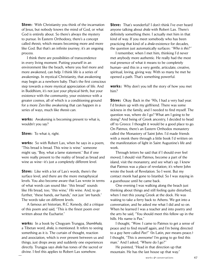**Steve:** With Christianity you think of the incarnation of Jesus, but nobody knows the mind of God, or what God is entirely about. So there's always the mystery to pursue. In Eastern Orthodoxy, there's a concept called *theosis,* which means becoming more and more like God. But that's an infinite journey; it's an ongoing process.

I think there are possibilities of transcendence in every living moment. Putting yourself in an environment like the beach, where you feel more and more awakened, can help. I think life is a series of awakenings. In mystical Christianity, that awakening may begin as a newborn baby. That's the first conscious step towards a more mystical appreciation of life. And in Buddhism, it's not just your physical birth, but your existence with the community, your existence with a greater cosmos, all of which is a conditioning ground for a more Zen-like awakening that can happen in a series of ways, much like *theosis* can.

**works:** Awakening is becoming present to what is, wouldn't you say?

Steve: To what *is,* right.

**works:** So with Robert Lax, when he says in a poem, "This bread is bread. This wine is wine." someone might say, "Boy, what a lame statement." But if one were really present to the reality of bread as bread and wine as wine—it's just a completely different level.

**Steve:** Like with a lot of Lax's words, there's the surface level, and there are the more metaphysical levels. You also become aware that Lax wrote in terms of what words can sound like: "this bread" sounds like *His* bread, too; "this wine," *His* wine. And, to go further, "these hands, *our* hands," not just "*are* hands." The words take on different levels.

 A famous art historian, R.C. Kenedy, did a critique of this poem and said, "This is the finest poem ever written about the Eucharist."

works: In a book by Chogyam Trungpa, *Shambhala,* a Tibetan word, *drala*, is mentioned. It refers to seeing something as it is. The curtain of thought, reaction and association, which is ever present between us and things, just drops away and suddenly one experiences directly. Trungpa says *drala* has tones of the sacred or divine. I feel this applies to Robert Lax somehow.

Steve: That's wonderful! I don't think I've ever heard anyone talking about *drala* with Robert Lax. There's definitely something there. I actually met him in that kind of way. If you meet somebody who has been practicing that kind of a *drala*-existence for decades, the question just automatically surfaces: "*Who is this*?"

I remember, when I met him, thinking I'd never met anybody more authentic. He really had the most real presence of what it means to be completely human—and this in a very gentle, articulate, creative, spiritual, loving, giving way. With so many he met he opened a path. That's something powerful.

works: Why don't you tell the story of how you met him?

**Steve:** Okay. Back in the '90s, I had a very bad year. I'd broken up with my girlfriend. There was some sickness in the family, and I needed to find myself. The question was, where do I go? What am I going to be doing? And being of Greek ancestry, I decided to head off to Greece. I thought it would be a good place to go. On Patmos, there's an Eastern Orthodox monastery called the Monastery of Saint John. I'd made friends with a monk there through a little book I'd written on the manifestation of light in Saint Augustine's life and work.

Through letters he said that if I should ever feel moved, I should visit Patmos, become a part of the island, visit the monastery, and see what's up. I knew that Patmos was a place of revelation; it's where John wrote the book of Revelation. So I went. But my contact monk had gone to Istanbul. So I was staying in a guesthouse until he came back.

One evening I was walking along the beach just thinking about things and still feeling quite disturbed, when I met this young Greek at the dock. He was waiting to take a ferry back to Athens. We got into a conversation, and he asked me what I did and so on. When he learned I was a teacher and into poetry and the arts he said, "You should meet this fellow up in the hills. His name is Pax."

I thought, "Wow. I came to Patmos to get a sense of peace and to find myself again, and I'm being directed to a guy here called *Pax*!" (In Latin, *pax* means peace.) I thought, "This is awesome! I'm going to go find this man." And I asked, "Where do I go?"

He pointed, "Head in that direction up that mountain. He has the last house up that way."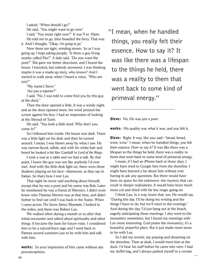I asked, "When should I go?" He said, "You might want to go now." I said, "You mean right now?" It was 9 or 10pm. He told me to go, then boarded the ferry. That was it. And I thought, "Okay. *I'm going to go*."

 Now these are tight, winding streets. So as I was going up, I kept asking people, "Is there a guy living nearby called Pax?" A lady said, "Do you want the poet?" She gave me better directions, and I found the house. I knocked, but nobody answered. I was thinking maybe it was a made-up story, who knows? And I started to walk away when I heard a voice, "Who are you?"

"My name's Steve."

"*Are you a reporter*?"

I said, "No. I was told to come find you by this guy at the dock."

Then the door opened a little. It was a windy night, and as the door opened more, the wind pressed the screen against his face. I had an impression of looking at the Shroud of Turin.

He said, "You look a little tired. Why don't you come in?"

So I followed him inside. His house was dark. There was a little light on his desk and then he turned around. I mean, I was blown away by what I saw. He was narrow-faced, tallish, and with his white hair and beard he looked a bit like Gandalf in *Lord of the Rings*.

I took a seat at a table and we had a talk. By that point, I knew the guy was not like anybody I'd ever met. And with the little desk light on, there were these shadows playing on his face—*chiaroscuro*, as they say in Italian. So that's how I met Lax.

That night he never said anything about himself, except that he was a poet and his name was Bob. Later he mentioned he was a friend of Merton's. I didn't even know who Thomas Merton was at that time, and didn't bother to find out until I was back in the States. When I came across *The Seven Storey Mountain,* I looked in the index, and there was Robert Lax.

We walked often during a month or so after that initial encounter and talked about spirituality and other things. It became the basis for future visits. I considered him to be a natural-born sage and I went back to Patmos several summers just to be with him and talk with him.

works: So your impression of him came without any preconceptions.

"I mean, when he handled things, you really felt their essence. How to say it? It was like there was a lifespan to the things he held, there was a reality to them that went back to some kind of primeval energy."

**Steve:** No. He was just a poet.

works: His quality was what it was, and you felt it.

Steve: Right. It was, like you said-"bread, bread, wine, wine." I mean, when he handled things, you felt their essence. How to say it? It was like there was a lifespan to the things he held, there was a reality to them that went back to some kind of primeval energy.

I mean, if I had an iPhone back in those days, I might have tried to Google him from the shoreline. I might have learned a lot about him without ever having to ask any questions. But there would have been no space for the unknown—the mystery that can result in deeper realizations. It would have been much more cut and dried with far less magic going on.

I think Lax, in a way, knew that, too. He would say, "During the day, I'll be doing my writing and the things I have to do, but we'll meet in the evenings." And during the day, I'd just hang out at the beach, eagerly anticipating those meetings. I also went to the monastery sometimes, but I found my meetings with Lax more interesting. God praise the monastery; it's a beautiful, prayerful place. But it just made more sense to be with Lax.

So I did my reverie, my praying and dreaming on the shoreline. Then at dusk, I would meet him at the dock. I'd hear his staff before he came into view. I had my duffel bag, and I always parked myself in a certain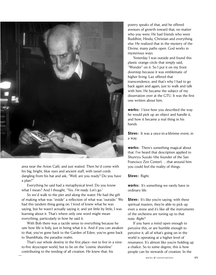

area near the Arion Café, and just waited. Then he'd come with his big, bright, blue eyes and ancient staff, with tassel cords dangling from his hat and ask, "Well, are you ready? Do you have a plan?"

Everything he said had a metaphysical level. Do you know what I mean? And I thought, "Yes. *I'm ready*. Let's go."

So we'd walk to the pier and along the water. He had the gift of making what was "inside" a reflection of what was "outside." We had this tandem thing going on. I kind of knew what he was saying, but he wasn't actually saying it; and yet little by little, I was learning about it. That's where only one word might mean everything, particularly in how he said it.

With Bob there was a tactile sense to everything because he saw how life is holy, just in being what it is. And if you can awaken to that, you've gone back to the Garden of Eden; you've gone back to Shambhala, the paradise realm.

That's our whole destiny in the first place—not to live in a nineto-five skyscraper world, but to be on the "cosmic shoreline" contributing to the tending of all creation. He knew that; his

poetry speaks of that, and he offered avenues of growth toward that, no matter who you were. He had friends who were Buddhist, Hindu, Christian and everything else. He realized that in the mystery of the Divine, many paths open. God works in mysterious ways.

Yesterday I was outside and found this plastic orange circle that simply said, "Wonder" on it. So I put it on my front doorstep because it was emblematic of higher living. Lax offered that transcendence, and that's why I had to go back again and again, just to walk and talk with him. He became the subject of my dissertation over at the GTU. It was the first one written about him.

works: I love how you described the way he would pick up an object and handle it, and how it became a real thing in his hands.

Steve: It was a once-in-a-lifetime event, in a way.

works: There's something magical about that. I've heard that description applied to Shunryu Suzuki (the founder of the San Francisco Zen Center), …that around him you could feel the reality of things.

Steve: Right.

works: It's something we rarely have in ordinary life.

**Steve:** It's like you're saying, with these spiritual masters, they're able to pick up even a stone and it's like all the instruments of the orchestra are tuning up to that note. *Right?*

If you have a mind open enough to perceive this, or are humble enough to perceive it, all of what's going on in the world is operating at a higher level of resonance. It's almost like you're holding up a chalice. So to some degree, this is how people can be stewards of creation. In the

works  $\acute{\mathbf{c}}$  conversations 49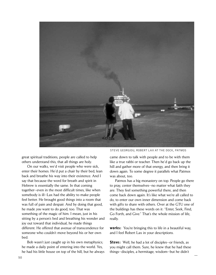

great spiritual traditions, people are called to help others understand this, that all things are holy.

On our walks, we'd visit people who were sick, enter their homes. He'd put a chair by their bed, lean back and breathe his way into their existence. And I say that because the word for breath and spirit in Hebrew is essentially the same. In that coming together—even in the most difficult times, like when somebody is ill—Lax had the ability to make people feel better. He brought good things into a room that was full of pain and despair. And by doing that good, he made *you* want to do good, too. That was something of the magic of him. I mean, just in his sitting by a person's bed and breathing his wonder and joy out toward that individual, he made things different. He offered that avenue of transcendence for someone who couldn't move beyond his or her own bed.

Bob wasn't just caught up in his own metaphysics; he made a daily point of entering into the world. Yes, he had his little house on top of the hill, but he always

Steve Georgiou, robert lax at the dock, patmos

came down to talk with people and to be with them like a true rabbi or teacher. Then he'd go back up the hill and gather more of that energy, and then bring it down again. To some degree it parallels what Patmos was about, too.

Patmos has a big monastery on top. People go there to pray, center themselves—no matter what faith they are. They feel something powerful there, and then come back down again. It's like what we're all called to do, to enter our own inner dimension and come back with gifts to share with others. Over at the GTU one of the buildings has these words on it: "Enter, Seek, Find, Go Forth, and Give." That's the whole mission of life, really.

**works:** You're bringing this to life in a beautiful way, and I feel Robert Lax in your descriptions.

Steve: Well, he had a lot of disciples-or friends, as you might call them. Sure, he knew that he had these things—disciples, a hermitage, wisdom—but he didn't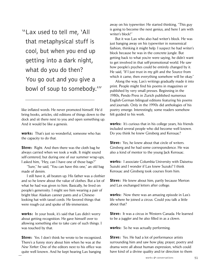"Lax used to tell me, 'All that metaphysical stuff is cool, but when you end up getting into a dark night, what do you do then? You go out and you give a bowl of soup to somebody.'"

like inflated words. He never promoted himself. He'd bring books, articles, old editions of things down to the dock and sit there next to you and open something up. And it would be like a genesis.

works: That's just so wonderful, someone who has the capacity to do that.

**Steve:** Right. And then there was the cloth bag he always carried when we took a walk. It might sound self-centered, but during one of our summer wrap-ups, I asked him, "Hey, can I have one of those bags?"

"Sure," he said, "You can have this one," an old bag made of denim.

I still have it, all beaten up. His father was a clothier and so he knew about the value of clothes. But a lot of what he had was given to him. Basically, he lived on people's generosity. I might see him wearing a pair of bright blue Alaskan canner pants and a Chineselooking hat with tassel cords. He favored things that were rough-cut and spoke of life-immersion.

works: In your book, it's said that Lax didn't worry about getting recognition. He gave himself over to allowing something else to take care of such things. I was touched by that.

**Steve:** Yes. I don't think he wrote to be recognized. There's a funny story about him when he was at the *New Yorker.* One of the editors next to his office was quite well known. And he kept hearing Lax banging

away on his typewriter. He started thinking, "This guy is going to become the next genius, and here I am with writer's block!"

But it was Lax who also had writer's block. He was just banging away on his typewriter in nonsensical fashion, thinking it might help. I suspect he had writer's block because he was in the concrete jungle. But getting back to what you're were saying, he didn't want to get involved in that self-promotional world. He saw how people's psyches could be entirely changed by it. He said, "If I just trust in my gift and the Source from which it came, then everything somehow will be okay."

Along the way, Lax's writings gradually made it into print. People might find his poems in magazines or published by very small presses. Beginning in the 1980s, Pendo Press in Zurich published numerous English-German bilingual editions featuring his poems and journals. Only in the 1990s did anthologies of his poetry emerge. Interestingly, some readers somehow felt guided to his work.

works: It's curious that in his college years, his friends included several people who did become well known. Do you think he knew Ginsberg and Kerouac?

**Steve:** Yes, he knew about that circle of writers. Ginsberg and he had some correspondence. He was also a kind of mentor to the young Jack Kerouac.

works: I associate Columbia University with Daisetsu Suzuki and I wonder if Lax knew Suzuki? I think Kerouac and Ginsberg took courses from him.

**Steve:** He knew about him, partly because Merton and Lax exchanged letters after college.

**works:** Now there was an amazing episode in Lax's life where he joined a circus. Could you talk a little about that?

Steve: It was a circus in Western Canada. He learned to be a juggler and he also filled in as a clown.

works: So he was actually performing.

**Steve:** Yes. He had a lot of performance artists surrounding him and saw how play, prayer, poetry and drama were all about human expression, which could have kind of a divine quality and/or direction to them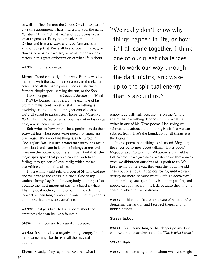as well. I believe he met the Circus Cristiani as part of a writing assignment. That's interesting, too, the name "Cristiani" being "Christ-like," and God being like a great ringmaster. Everything revolves around the Divine, and in many ways circus performances are kind of doing that. We're all like acrobats, in a way, or clowns, or whatever we are; we're all important characters in this great orchestration of what life is about.

## works: This grand circus.

**Steve:** Grand circus, right. In a way, Patmos was like that, too, with the towering monastery in the island's center, and all the participants—monks, fishermen, farmers, shopkeepers—circling the sun, or the Son.

Lax's first great book is *Circus of the Sun*, published in 1959 by Journeyman Press, a fine example of his pre-minimalist contemplative style. Everything is revolving around the sun, or higher consciousness, and we're all called to participate. There's also *Mogador's Book,* which is based on an acrobat he met in his circus days, a wise, beautiful man.

Bob writes of how when circus performers do their acts—just like when poets write poetry, or musicians play music—the important thing is, as he wrote in *Circus of the Sun,* "It is like a wind that surrounds me, a dark cloud, and I am in it, and it belongs to me, and gives me the power to do these things." And that's the magic spirit-space that people can feel with heartfeeling, through acts of love, really, which makes everything go in the first place.

I'm teaching world religions over at SF City College, and we arrange the chairs in a circle. One of my students brings bagels in for everybody and it's perfect because the most important part of a bagel is what? That mystical nothing in the center. It gives definition to what we can tangibly move toward—that mysterious emptiness that holds up everything.

**works:** That gets back to Lax's poem about the emptiness that can be like a fountain.

**Steve:** It is, if you are truly awake, receptive.

**works:** It sounds like a negative thing, "empty," but I think something like this is in all the mystical traditions.

**Steve:** Exactly. They say in the East that what is

"We really don't know why things happen in life, or how it'll all come together. I think one of our great challenges is to work our way through the dark nights, and wake up to the spiritual energy that is around us."

empty is actually full, because it is on the "empty space" that everything depends. It's like what Lax writes in one of his *Circus* poems. He's saying we subtract and subtract until nothing is left that we can subtract from. That's the foundation of all things; it is the fountain.

In one poem, he's talking to his friend, Mogador, the circus performer, about talking. "It was good," Mogador said, "to talk thus. Whatever is withheld is lost. Whatever we give away, whatever we throw away, what we disburden ourselves of, is profit to us. We keep giving things away, throwing them out like old chairs out of a house. Keep destroying, until we can destroy no more, because what is left is *indestructible."*

In our busy society, nobody is pointing to this, and people can go mad from its lack, because they find no space in which to live or dream.

**works:** I think people are not aware of what they're despairing the lack of, and I suspect there's a lot of hidden despair.

Steve: Indeed

works: But if something of that deeper possibility is glimpsed one recognizes instantly, *"This is what I want*."

Steve: Right.

works: It's interesting to think about what you might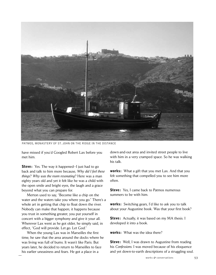

patmos, monastery of St. John on the ridge in the distance

have missed if you'd Googled Robert Lax before you met him.

**Steve:** Yes. The way it happened–I just had to go back and talk to him more because, *Why did I feel these things*? *Why was the room resonating*? Here was a man eighty years old and yet it felt like he was a child with the open smile and bright eyes, the laugh and a grace beyond what you can prepare for.

Merton used to say, "Become like a chip on the water and the waters take you where you go." There's a whole art in getting that chip to float down the river. Nobody can make that happen; it happens because you trust in something greater, you put yourself in concert with a bigger symphony and give it your all. Wherever Lax went as he got older, he simply said, in effect, "God will provide. Let go. Let God."

When the young Lax was in Marseilles the first time, he saw that the area around the docks where he was living was full of bums. It wasn't like Paris. But years later, he decided to return to Marseilles to face his earlier uneasiness and fears. He got a place in a

down-and-out area and invited street people to live with him in a very cramped space. So he was walking his talk.

**works:** What a gift that you met Lax. And that you felt something that compelled you to see him more often.

**Steve:** Yes, I came back to Patmos numerous summers to be with him.

works: Switching gears, I'd like to ask you to talk about your Augustine book. Was that your first book?

**Steve:** Actually, it was based on my MA thesis. I developed it into a book.

works: What was the idea there?

**Steve:** Well, I was drawn to Augustine from reading his *Confessions*. I was moved because of his eloquence and yet down-to-earth descriptions of a struggling soul.